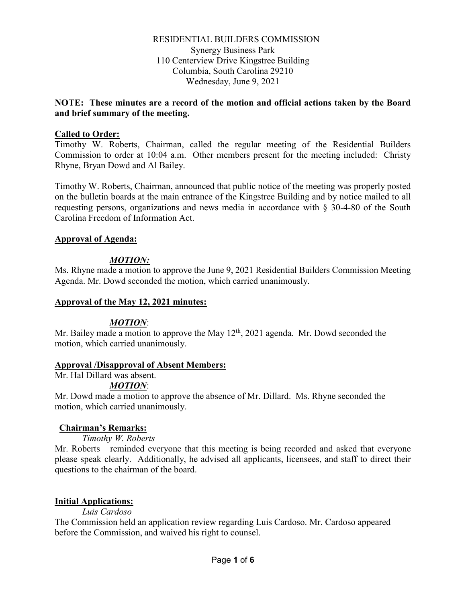RESIDENTIAL BUILDERS COMMISSION Synergy Business Park 110 Centerview Drive Kingstree Building Columbia, South Carolina 29210 Wednesday, June 9, 2021

#### **NOTE: These minutes are a record of the motion and official actions taken by the Board and brief summary of the meeting.**

#### **Called to Order:**

Timothy W. Roberts, Chairman, called the regular meeting of the Residential Builders Commission to order at 10:04 a.m. Other members present for the meeting included: Christy Rhyne, Bryan Dowd and Al Bailey.

Timothy W. Roberts, Chairman, announced that public notice of the meeting was properly posted on the bulletin boards at the main entrance of the Kingstree Building and by notice mailed to all requesting persons, organizations and news media in accordance with § 30-4-80 of the South Carolina Freedom of Information Act.

#### **Approval of Agenda:**

### *MOTION:*

Ms. Rhyne made a motion to approve the June 9, 2021 Residential Builders Commission Meeting Agenda. Mr. Dowd seconded the motion, which carried unanimously.

#### **Approval of the May 12, 2021 minutes:**

### *MOTION*:

Mr. Bailey made a motion to approve the May  $12^{th}$ , 2021 agenda. Mr. Dowd seconded the motion, which carried unanimously.

#### **Approval /Disapproval of Absent Members:**

Mr. Hal Dillard was absent.

#### *MOTION*:

Mr. Dowd made a motion to approve the absence of Mr. Dillard. Ms. Rhyne seconded the motion, which carried unanimously.

### **Chairman's Remarks:**

*Timothy W. Roberts*

Mr. Roberts reminded everyone that this meeting is being recorded and asked that everyone please speak clearly. Additionally, he advised all applicants, licensees, and staff to direct their questions to the chairman of the board.

### **Initial Applications:**

### *Luis Cardoso*

The Commission held an application review regarding Luis Cardoso. Mr. Cardoso appeared before the Commission, and waived his right to counsel.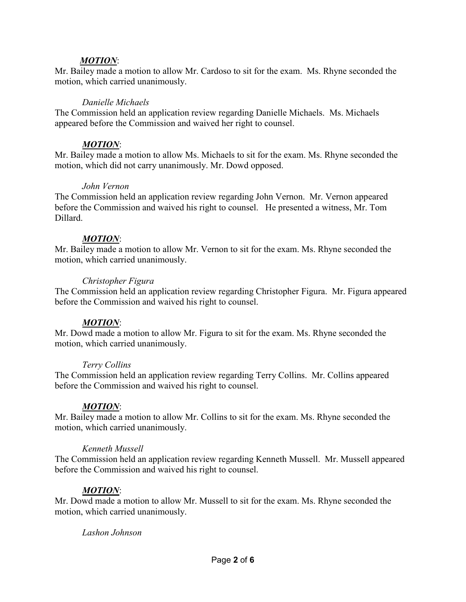#### *MOTION*:

Mr. Bailey made a motion to allow Mr. Cardoso to sit for the exam. Ms. Rhyne seconded the motion, which carried unanimously.

#### *Danielle Michaels*

The Commission held an application review regarding Danielle Michaels. Ms. Michaels appeared before the Commission and waived her right to counsel.

#### *MOTION*:

Mr. Bailey made a motion to allow Ms. Michaels to sit for the exam. Ms. Rhyne seconded the motion, which did not carry unanimously. Mr. Dowd opposed.

#### *John Vernon*

The Commission held an application review regarding John Vernon. Mr. Vernon appeared before the Commission and waived his right to counsel. He presented a witness, Mr. Tom Dillard.

#### *MOTION*:

Mr. Bailey made a motion to allow Mr. Vernon to sit for the exam. Ms. Rhyne seconded the motion, which carried unanimously.

#### *Christopher Figura*

The Commission held an application review regarding Christopher Figura. Mr. Figura appeared before the Commission and waived his right to counsel.

### *MOTION*:

Mr. Dowd made a motion to allow Mr. Figura to sit for the exam. Ms. Rhyne seconded the motion, which carried unanimously.

#### *Terry Collins*

The Commission held an application review regarding Terry Collins. Mr. Collins appeared before the Commission and waived his right to counsel.

#### *MOTION*:

Mr. Bailey made a motion to allow Mr. Collins to sit for the exam. Ms. Rhyne seconded the motion, which carried unanimously.

#### *Kenneth Mussell*

The Commission held an application review regarding Kenneth Mussell. Mr. Mussell appeared before the Commission and waived his right to counsel.

### *MOTION*:

Mr. Dowd made a motion to allow Mr. Mussell to sit for the exam. Ms. Rhyne seconded the motion, which carried unanimously.

#### *Lashon Johnson*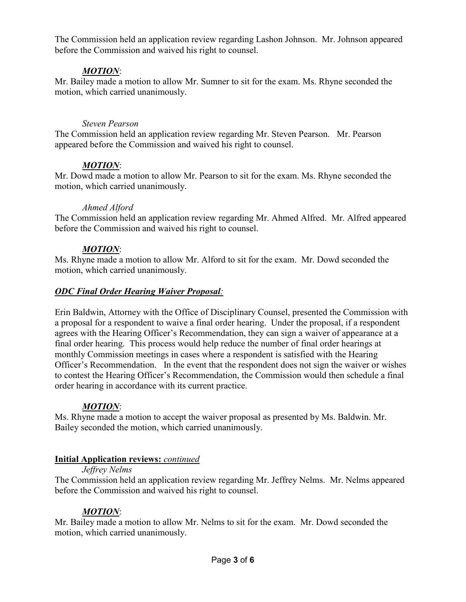The Commission held an application review regarding Lashon Johnson. Mr. Johnson appeared before the Commission and waived his right to counsel.

# *MOTION*:

Mr. Bailey made a motion to allow Mr. Sumner to sit for the exam. Ms. Rhyne seconded the motion, which carried unanimously.

## *Steven Pearson*

The Commission held an application review regarding Mr. Steven Pearson. Mr. Pearson appeared before the Commission and waived his right to counsel.

# *MOTION*:

Mr. Dowd made a motion to allow Mr. Pearson to sit for the exam. Ms. Rhyne seconded the motion, which carried unanimously.

### *Ahmed Alford*

The Commission held an application review regarding Mr. Ahmed Alfred. Mr. Alfred appeared before the Commission and waived his right to counsel.

# *MOTION*:

Ms. Rhyne made a motion to allow Mr. Alford to sit for the exam. Mr. Dowd seconded the motion, which carried unanimously.

# *ODC Final Order Hearing Waiver Proposal:*

Erin Baldwin, Attorney with the Office of Disciplinary Counsel, presented the Commission with a proposal for a respondent to waive a final order hearing. Under the proposal, if a respondent agrees with the Hearing Officer's Recommendation, they can sign a waiver of appearance at a final order hearing. This process would help reduce the number of final order hearings at monthly Commission meetings in cases where a respondent is satisfied with the Hearing Officer's Recommendation. In the event that the respondent does not sign the waiver or wishes to contest the Hearing Officer's Recommendation, the Commission would then schedule a final order hearing in accordance with its current practice.

# *MOTION*:

Ms. Rhyne made a motion to accept the waiver proposal as presented by Ms. Baldwin. Mr. Bailey seconded the motion, which carried unanimously.

# **Initial Application reviews:** *continued*

### *Jeffrey Nelms*

The Commission held an application review regarding Mr. Jeffrey Nelms. Mr. Nelms appeared before the Commission and waived his right to counsel.

# *MOTION*:

Mr. Bailey made a motion to allow Mr. Nelms to sit for the exam. Mr. Dowd seconded the motion, which carried unanimously.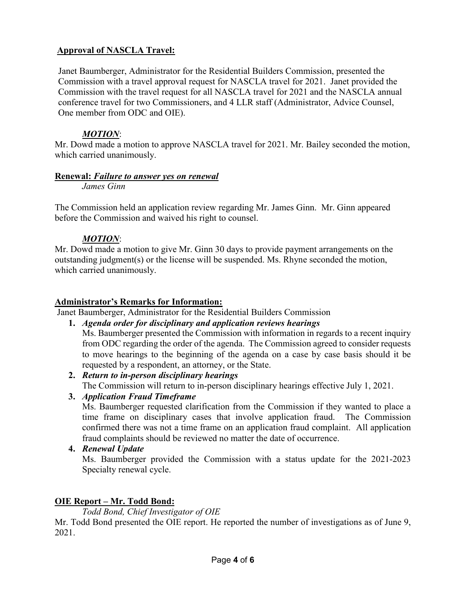# **Approval of NASCLA Travel:**

Janet Baumberger, Administrator for the Residential Builders Commission, presented the Commission with a travel approval request for NASCLA travel for 2021. Janet provided the Commission with the travel request for all NASCLA travel for 2021 and the NASCLA annual conference travel for two Commissioners, and 4 LLR staff (Administrator, Advice Counsel, One member from ODC and OIE).

# *MOTION*:

Mr. Dowd made a motion to approve NASCLA travel for 2021. Mr. Bailey seconded the motion, which carried unanimously.

# **Renewal:** *Failure to answer yes on renewal*

*James Ginn*

The Commission held an application review regarding Mr. James Ginn. Mr. Ginn appeared before the Commission and waived his right to counsel.

# *MOTION*:

Mr. Dowd made a motion to give Mr. Ginn 30 days to provide payment arrangements on the outstanding judgment(s) or the license will be suspended. Ms. Rhyne seconded the motion, which carried unanimously.

# **Administrator's Remarks for Information:**

Janet Baumberger, Administrator for the Residential Builders Commission

- **1.** *Agenda order for disciplinary and application reviews hearings* Ms. Baumberger presented the Commission with information in regards to a recent inquiry from ODC regarding the order of the agenda. The Commission agreed to consider requests to move hearings to the beginning of the agenda on a case by case basis should it be requested by a respondent, an attorney, or the State.
- **2.** *Return to in-person disciplinary hearings* The Commission will return to in-person disciplinary hearings effective July 1, 2021.
- **3.** *Application Fraud Timeframe*

Ms. Baumberger requested clarification from the Commission if they wanted to place a time frame on disciplinary cases that involve application fraud. The Commission confirmed there was not a time frame on an application fraud complaint. All application fraud complaints should be reviewed no matter the date of occurrence.

**4.** *Renewal Update*

Ms. Baumberger provided the Commission with a status update for the 2021-2023 Specialty renewal cycle.

# **OIE Report – Mr. Todd Bond:**

*Todd Bond, Chief Investigator of OIE*

Mr. Todd Bond presented the OIE report. He reported the number of investigations as of June 9, 2021.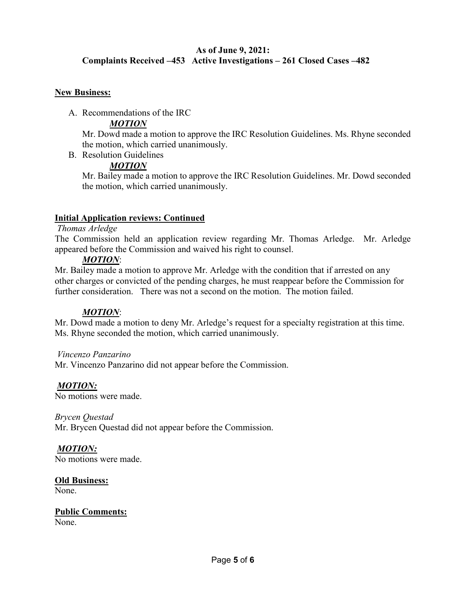# **As of June 9, 2021: Complaints Received –453 Active Investigations – 261 Closed Cases –482**

#### **New Business:**

A. Recommendations of the IRC

# *MOTION*

Mr. Dowd made a motion to approve the IRC Resolution Guidelines. Ms. Rhyne seconded the motion, which carried unanimously.

B. Resolution Guidelines

# *MOTION*

Mr. Bailey made a motion to approve the IRC Resolution Guidelines. Mr. Dowd seconded the motion, which carried unanimously.

### **Initial Application reviews: Continued**

### *Thomas Arledge*

The Commission held an application review regarding Mr. Thomas Arledge. Mr. Arledge appeared before the Commission and waived his right to counsel.

### *MOTION*:

Mr. Bailey made a motion to approve Mr. Arledge with the condition that if arrested on any other charges or convicted of the pending charges, he must reappear before the Commission for further consideration. There was not a second on the motion. The motion failed.

### *MOTION*:

Mr. Dowd made a motion to deny Mr. Arledge's request for a specialty registration at this time. Ms. Rhyne seconded the motion, which carried unanimously.

### *Vincenzo Panzarino*

Mr. Vincenzo Panzarino did not appear before the Commission.

### *MOTION:*

No motions were made.

### *Brycen Questad*

Mr. Brycen Questad did not appear before the Commission.

# *MOTION:*

No motions were made.

# **Old Business:**

None.

#### **Public Comments:** None.